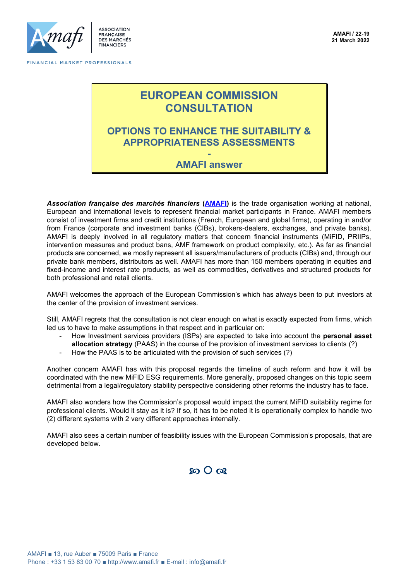

ASSOCIATION FRANCAISE **DES MARCHÉS FINANCIERS** 

# **EUROPEAN COMMISSION CONSULTATION**

## **OPTIONS TO ENHANCE THE SUITABILITY & APPROPRIATENESS ASSESSMENTS**

**- AMAFI answer**

*Association française des marchés financiers* **[\(AMAFI\)](http://amafi.fr/en)** is the trade organisation working at national, European and international levels to represent financial market participants in France. AMAFI members consist of investment firms and credit institutions (French, European and global firms), operating in and/or from France (corporate and investment banks (CIBs), brokers-dealers, exchanges, and private banks). AMAFI is deeply involved in all regulatory matters that concern financial instruments (MiFID, PRIIPs, intervention measures and product bans, AMF framework on product complexity, etc.). As far as financial products are concerned, we mostly represent all issuers/manufacturers of products (CIBs) and, through our private bank members, distributors as well. AMAFI has more than 150 members operating in equities and fixed-income and interest rate products, as well as commodities, derivatives and structured products for both professional and retail clients.

AMAFI welcomes the approach of the European Commission's which has always been to put investors at the center of the provision of investment services.

Still, AMAFI regrets that the consultation is not clear enough on what is exactly expected from firms, which led us to have to make assumptions in that respect and in particular on:

- How Investment services providers (ISPs) are expected to take into account the **personal asset allocation strategy** (PAAS) in the course of the provision of investment services to clients (?)
- How the PAAS is to be articulated with the provision of such services (?)

Another concern AMAFI has with this proposal regards the timeline of such reform and how it will be coordinated with the new MiFID ESG requirements. More generally, proposed changes on this topic seem detrimental from a legal/regulatory stability perspective considering other reforms the industry has to face.

AMAFI also wonders how the Commission's proposal would impact the current MiFID suitability regime for professional clients. Would it stay as it is? If so, it has to be noted it is operationally complex to handle two (2) different systems with 2 very different approaches internally.

AMAFI also sees a certain number of feasibility issues with the European Commission's proposals, that are developed below.

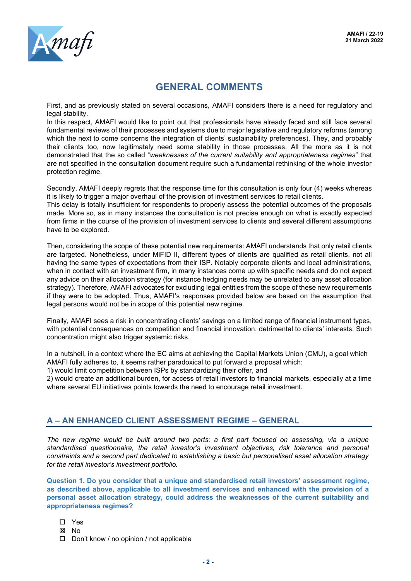

## **GENERAL COMMENTS**

First, and as previously stated on several occasions, AMAFI considers there is a need for regulatory and legal stability.

In this respect, AMAFI would like to point out that professionals have already faced and still face several fundamental reviews of their processes and systems due to major legislative and regulatory reforms (among which the next to come concerns the integration of clients' sustainability preferences). They, and probably their clients too, now legitimately need some stability in those processes. All the more as it is not demonstrated that the so called "*weaknesses of the current suitability and appropriateness regimes*" that are not specified in the consultation document require such a fundamental rethinking of the whole investor protection regime.

Secondly, AMAFI deeply regrets that the response time for this consultation is only four (4) weeks whereas it is likely to trigger a major overhaul of the provision of investment services to retail clients.

This delay is totally insufficient for respondents to properly assess the potential outcomes of the proposals made. More so, as in many instances the consultation is not precise enough on what is exactly expected from firms in the course of the provision of investment services to clients and several different assumptions have to be explored.

Then, considering the scope of these potential new requirements: AMAFI understands that only retail clients are targeted. Nonetheless, under MiFID II, different types of clients are qualified as retail clients, not all having the same types of expectations from their ISP. Notably corporate clients and local administrations, when in contact with an investment firm, in many instances come up with specific needs and do not expect any advice on their allocation strategy (for instance hedging needs may be unrelated to any asset allocation strategy). Therefore, AMAFI advocates for excluding legal entities from the scope of these new requirements if they were to be adopted. Thus, AMAFI's responses provided below are based on the assumption that legal persons would not be in scope of this potential new regime.

Finally, AMAFI sees a risk in concentrating clients' savings on a limited range of financial instrument types, with potential consequences on competition and financial innovation, detrimental to clients' interests. Such concentration might also trigger systemic risks.

In a nutshell, in a context where the EC aims at achieving the Capital Markets Union (CMU), a goal which AMAFI fully adheres to, it seems rather paradoxical to put forward a proposal which:

1) would limit competition between ISPs by standardizing their offer, and

2) would create an additional burden, for access of retail investors to financial markets, especially at a time where several EU initiatives points towards the need to encourage retail investment.

### **A – AN ENHANCED CLIENT ASSESSMENT REGIME – GENERAL**

*The new regime would be built around two parts: a first part focused on assessing, via a unique standardised questionnaire, the retail investor's investment objectives, risk tolerance and personal constraints and a second part dedicated to establishing a basic but personalised asset allocation strategy for the retail investor's investment portfolio.*

**Question 1. Do you consider that a unique and standardised retail investors' assessment regime, as described above, applicable to all investment services and enhanced with the provision of a personal asset allocation strategy, could address the weaknesses of the current suitability and appropriateness regimes?**

- Yes
- **x** No
- Don't know / no opinion / not applicable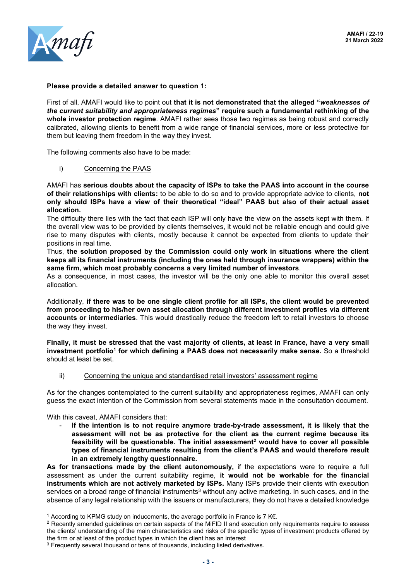

#### **Please provide a detailed answer to question 1:**

First of all, AMAFI would like to point out **that it is not demonstrated that the alleged "***weaknesses of the current suitability and appropriateness regimes***" require such a fundamental rethinking of the whole investor protection regime**. AMAFI rather sees those two regimes as being robust and correctly calibrated, allowing clients to benefit from a wide range of financial services, more or less protective for them but leaving them freedom in the way they invest.

The following comments also have to be made:

#### i) Concerning the PAAS

AMAFI has **serious doubts about the capacity of ISPs to take the PAAS into account in the course of their relationships with clients:** to be able to do so and to provide appropriate advice to clients, **not only should ISPs have a view of their theoretical "ideal" PAAS but also of their actual asset allocation.**

The difficulty there lies with the fact that each ISP will only have the view on the assets kept with them. If the overall view was to be provided by clients themselves, it would not be reliable enough and could give rise to many disputes with clients, mostly because it cannot be expected from clients to update their positions in real time.

Thus, **the solution proposed by the Commission could only work in situations where the client keeps all its financial instruments (including the ones held through insurance wrappers) within the same firm, which most probably concerns a very limited number of investors**.

As a consequence, in most cases, the investor will be the only one able to monitor this overall asset allocation.

Additionally, **if there was to be one single client profile for all ISPs, the client would be prevented from proceeding to his/her own asset allocation through different investment profiles via different accounts or intermediaries**. This would drastically reduce the freedom left to retail investors to choose the way they invest.

**Finally, it must be stressed that the vast majority of clients, at least in France, have a very small investment portfolio<sup>1</sup> for which defining a PAAS does not necessarily make sense.** So a threshold should at least be set.

ii) Concerning the unique and standardised retail investors' assessment regime

As for the changes contemplated to the current suitability and appropriateness regimes, AMAFI can only guess the exact intention of the Commission from several statements made in the consultation document.

#### With this caveat, AMAFI considers that:

- **If the intention is to not require anymore trade-by-trade assessment, it is likely that the assessment will not be as protective for the client as the current regime because its feasibility will be questionable. The initial assessment<sup>2</sup> would have to cover all possible types of financial instruments resulting from the client's PAAS and would therefore result in an extremely lengthy questionnaire.**

**As for transactions made by the client autonomously,** if the expectations were to require a full assessment as under the current suitability regime, **it would not be workable for the financial instruments which are not actively marketed by ISPs.** Many ISPs provide their clients with execution services on a broad range of financial instruments<sup>3</sup> without any active marketing. In such cases, and in the absence of any legal relationship with the issuers or manufacturers, they do not have a detailed knowledge

<sup>1</sup> According to KPMG study on inducements, the average portfolio in France is 7 K€.

<sup>&</sup>lt;sup>2</sup> Recently amended guidelines on certain aspects of the MiFID II and execution only requirements require to assess the clients' understanding of the main characteristics and risks of the specific types of investment products offered by the firm or at least of the product types in which the client has an interest

<sup>3</sup> Frequently several thousand or tens of thousands, including listed derivatives.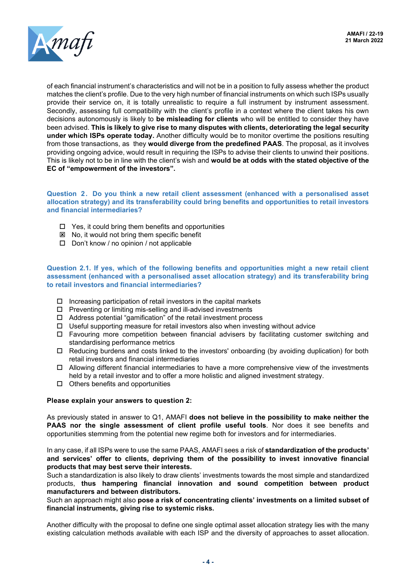

of each financial instrument's characteristics and will not be in a position to fully assess whether the product matches the client's profile. Due to the very high number of financial instruments on which such ISPs usually provide their service on, it is totally unrealistic to require a full instrument by instrument assessment. Secondly, assessing full compatibility with the client's profile in a context where the client takes his own decisions autonomously is likely to **be misleading for clients** who will be entitled to consider they have been advised. **This is likely to give rise to many disputes with clients, deteriorating the legal security under which ISPs operate today.** Another difficulty would be to monitor overtime the positions resulting from those transactions, as they **would diverge from the predefined PAAS**. The proposal, as it involves providing ongoing advice, would result in requiring the ISPs to advise their clients to unwind their positions. This is likely not to be in line with the client's wish and **would be at odds with the stated objective of the EC of "empowerment of the investors".** 

#### **Question 2. Do you think a new retail client assessment (enhanced with a personalised asset allocation strategy) and its transferability could bring benefits and opportunities to retail investors and financial intermediaries?**

- $\Box$  Yes, it could bring them benefits and opportunities
- $\boxtimes$  No, it would not bring them specific benefit
- Don't know / no opinion / not applicable

#### **Question 2.1. If yes, which of the following benefits and opportunities might a new retail client assessment (enhanced with a personalised asset allocation strategy) and its transferability bring to retail investors and financial intermediaries?**

- $\Box$  Increasing participation of retail investors in the capital markets
- □ Preventing or limiting mis-selling and ill-advised investments
- Address potential "gamification" of the retail investment process
- $\Box$  Useful supporting measure for retail investors also when investing without advice
- Favouring more competition between financial advisers by facilitating customer switching and standardising performance metrics
- □ Reducing burdens and costs linked to the investors' onboarding (by avoiding duplication) for both retail investors and financial intermediaries
- $\Box$  Allowing different financial intermediaries to have a more comprehensive view of the investments held by a retail investor and to offer a more holistic and aligned investment strategy.
- $\Box$  Others benefits and opportunities

#### **Please explain your answers to question 2:**

As previously stated in answer to Q1, AMAFI **does not believe in the possibility to make neither the PAAS nor the single assessment of client profile useful tools**. Nor does it see benefits and opportunities stemming from the potential new regime both for investors and for intermediaries.

In any case, if all ISPs were to use the same PAAS, AMAFI sees a risk of **standardization of the products' and services' offer to clients, depriving them of the possibility to invest innovative financial products that may best serve their interests.**

Such a standardization is also likely to draw clients' investments towards the most simple and standardized products, **thus hampering financial innovation and sound competition between product manufacturers and between distributors.**

Such an approach might also **pose a risk of concentrating clients' investments on a limited subset of financial instruments, giving rise to systemic risks.**

Another difficulty with the proposal to define one single optimal asset allocation strategy lies with the many existing calculation methods available with each ISP and the diversity of approaches to asset allocation.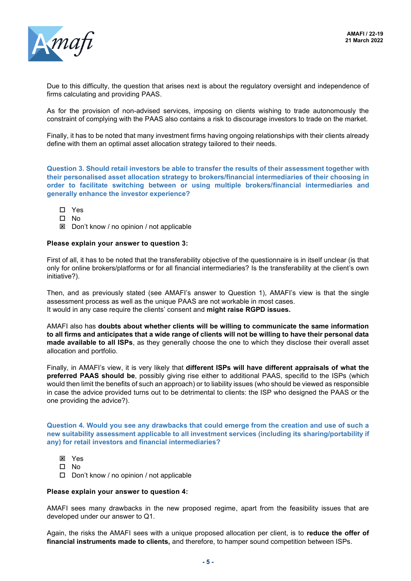

Due to this difficulty, the question that arises next is about the regulatory oversight and independence of firms calculating and providing PAAS.

As for the provision of non-advised services, imposing on clients wishing to trade autonomously the constraint of complying with the PAAS also contains a risk to discourage investors to trade on the market.

Finally, it has to be noted that many investment firms having ongoing relationships with their clients already define with them an optimal asset allocation strategy tailored to their needs.

**Question 3. Should retail investors be able to transfer the results of their assessment together with their personalised asset allocation strategy to brokers/financial intermediaries of their choosing in order to facilitate switching between or using multiple brokers/financial intermediaries and generally enhance the investor experience?**

- □ Yes
- $\square$  No
- $\boxtimes$  Don't know / no opinion / not applicable

#### **Please explain your answer to question 3:**

First of all, it has to be noted that the transferability objective of the questionnaire is in itself unclear (is that only for online brokers/platforms or for all financial intermediaries? Is the transferability at the client's own initiative?).

Then, and as previously stated (see AMAFI's answer to Question 1), AMAFI's view is that the single assessment process as well as the unique PAAS are not workable in most cases. It would in any case require the clients' consent and **might raise RGPD issues.**

AMAFI also has **doubts about whether clients will be willing to communicate the same information to all firms and anticipates that a wide range of clients will not be willing to have their personal data made available to all ISPs**, as they generally choose the one to which they disclose their overall asset allocation and portfolio.

Finally, in AMAFI's view, it is very likely that **different ISPs will have different appraisals of what the preferred PAAS should be**, possibly giving rise either to additional PAAS, specifid to the ISPs (which would then limit the benefits of such an approach) or to liability issues (who should be viewed as responsible in case the advice provided turns out to be detrimental to clients: the ISP who designed the PAAS or the one providing the advice?).

**Question 4. Would you see any drawbacks that could emerge from the creation and use of such a new suitability assessment applicable to all investment services (including its sharing/portability if any) for retail investors and financial intermediaries?**

- **E** Yes
- $\square$  No
- $\Box$  Don't know / no opinion / not applicable

#### **Please explain your answer to question 4:**

AMAFI sees many drawbacks in the new proposed regime, apart from the feasibility issues that are developed under our answer to Q1.

Again, the risks the AMAFI sees with a unique proposed allocation per client, is to **reduce the offer of financial instruments made to clients,** and therefore, to hamper sound competition between ISPs.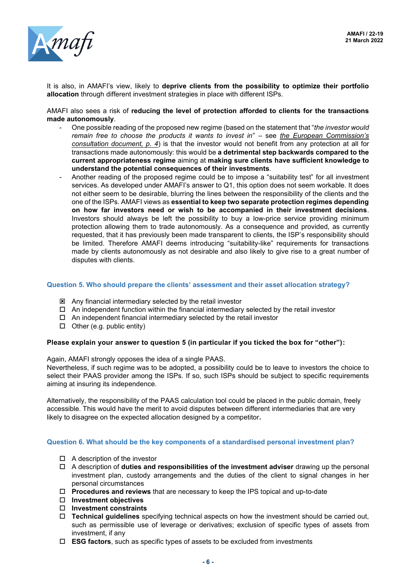

It is also, in AMAFI's view, likely to **deprive clients from the possibility to optimize their portfolio allocation** through different investment strategies in place with different ISPs.

AMAFI also sees a risk of **reducing the level of protection afforded to clients for the transactions made autonomously**.

- One possible reading of the proposed new regime (based on the statement that "*the investor would remain free to choose the products it wants to invest in*" – see *the European Commission's consultation document, p. 4*) is that the investor would not benefit from any protection at all for transactions made autonomously: this would be **a detrimental step backwards compared to the current appropriateness regime** aiming at **making sure clients have sufficient knowledge to understand the potential consequences of their investments**.
- Another reading of the proposed regime could be to impose a "suitability test" for all investment services. As developed under AMAFI's answer to Q1, this option does not seem workable. It does not either seem to be desirable, blurring the lines between the responsibility of the clients and the one of the ISPs. AMAFI views as **essential to keep two separate protection regimes depending on how far investors need or wish to be accompanied in their investment decisions**. Investors should always be left the possibility to buy a low-price service providing minimum protection allowing them to trade autonomously. As a consequence and provided, as currently requested, that it has previously been made transparent to clients, the ISP's responsibility should be limited. Therefore AMAFI deems introducing "suitability-like" requirements for transactions made by clients autonomously as not desirable and also likely to give rise to a great number of disputes with clients.

#### **Question 5. Who should prepare the clients' assessment and their asset allocation strategy?**

- $\boxtimes$  Any financial intermediary selected by the retail investor
- $\Box$  An independent function within the financial intermediary selected by the retail investor
- $\Box$  An independent financial intermediary selected by the retail investor
- $\Box$  Other (e.g. public entity)

#### **Please explain your answer to question 5 (in particular if you ticked the box for "other"):**

Again, AMAFI strongly opposes the idea of a single PAAS.

Nevertheless, if such regime was to be adopted, a possibility could be to leave to investors the choice to select their PAAS provider among the ISPs. If so, such ISPs should be subject to specific requirements aiming at insuring its independence.

Alternatively, the responsibility of the PAAS calculation tool could be placed in the public domain, freely accessible. This would have the merit to avoid disputes between different intermediaries that are very likely to disagree on the expected allocation designed by a competitor**.**

#### **Question 6. What should be the key components of a standardised personal investment plan?**

- $\Box$  A description of the investor
- A description of **duties and responsibilities of the investment adviser** drawing up the personal investment plan, custody arrangements and the duties of the client to signal changes in her personal circumstances
- **Procedures and reviews** that are necessary to keep the IPS topical and up-to-date
- **Investment objectives**
- **Investment constraints**
- **Technical guidelines** specifying technical aspects on how the investment should be carried out, such as permissible use of leverage or derivatives; exclusion of specific types of assets from investment, if any
- **ESG factors**, such as specific types of assets to be excluded from investments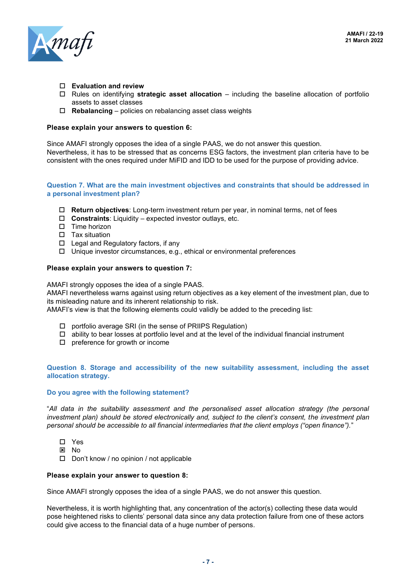

- **Evaluation and review**
- Rules on identifying **strategic asset allocation**  including the baseline allocation of portfolio assets to asset classes
- **Rebalancing** policies on rebalancing asset class weights

#### **Please explain your answers to question 6:**

Since AMAFI strongly opposes the idea of a single PAAS, we do not answer this question. Nevertheless, it has to be stressed that as concerns ESG factors, the investment plan criteria have to be consistent with the ones required under MiFID and IDD to be used for the purpose of providing advice.

#### **Question 7. What are the main investment objectives and constraints that should be addressed in a personal investment plan?**

- **Return objectives**: Long-term investment return per year, in nominal terms, net of fees
- **Constraints**: Liquidity expected investor outlays, etc.
- $\square$  Time horizon
- $\square$  Tax situation
- □ Legal and Regulatory factors, if any
- $\Box$  Unique investor circumstances, e.g., ethical or environmental preferences

#### **Please explain your answers to question 7:**

AMAFI strongly opposes the idea of a single PAAS.

AMAFI nevertheless warns against using return objectives as a key element of the investment plan, due to its misleading nature and its inherent relationship to risk.

AMAFI's view is that the following elements could validly be added to the preceding list:

- portfolio average SRI (in the sense of PRIIPS Regulation)
- ability to bear losses at portfolio level and at the level of the individual financial instrument
- $\square$  preference for growth or income

**Question 8. Storage and accessibility of the new suitability assessment, including the asset allocation strategy.**

#### **Do you agree with the following statement?**

"All data in the suitability assessment and the personalised asset allocation strategy (the personal *investment plan) should be stored electronically and, subject to the client's consent, the investment plan personal should be accessible to all financial intermediaries that the client employs ("open finance").*"

- Yes
- **E** No
- Don't know / no opinion / not applicable

#### **Please explain your answer to question 8:**

Since AMAFI strongly opposes the idea of a single PAAS, we do not answer this question.

Nevertheless, it is worth highlighting that, any concentration of the actor(s) collecting these data would pose heightened risks to clients' personal data since any data protection failure from one of these actors could give access to the financial data of a huge number of persons.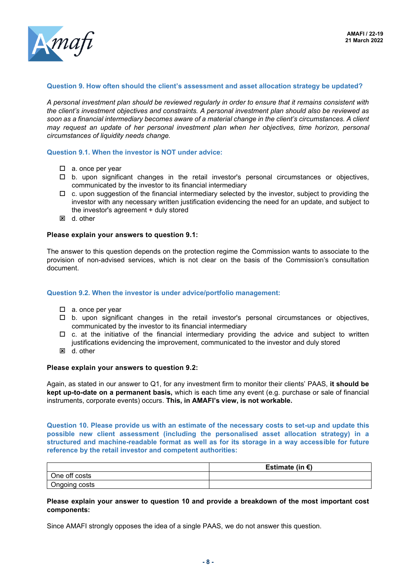

#### **Question 9. How often should the client's assessment and asset allocation strategy be updated?**

*A personal investment plan should be reviewed regularly in order to ensure that it remains consistent with the client's investment objectives and constraints. A personal investment plan should also be reviewed as soon as a financial intermediary becomes aware of a material change in the client's circumstances. A client may request an update of her personal investment plan when her objectives, time horizon, personal circumstances of liquidity needs change.*

#### **Question 9.1. When the investor is NOT under advice:**

- $\Box$  a. once per year
- b. upon significant changes in the retail investor's personal circumstances or objectives, communicated by the investor to its financial intermediary
- $\Box$  c. upon suggestion of the financial intermediary selected by the investor, subject to providing the investor with any necessary written justification evidencing the need for an update, and subject to the investor's agreement + duly stored
- **図** d. other

#### **Please explain your answers to question 9.1:**

The answer to this question depends on the protection regime the Commission wants to associate to the provision of non-advised services, which is not clear on the basis of the Commission's consultation document.

#### **Question 9.2. When the investor is under advice/portfolio management:**

- □ a. once per year
- $\Box$  b. upon significant changes in the retail investor's personal circumstances or objectives, communicated by the investor to its financial intermediary
- $\Box$  c. at the initiative of the financial intermediary providing the advice and subject to written justifications evidencing the improvement, communicated to the investor and duly stored
- **図** d. other

#### **Please explain your answers to question 9.2:**

Again, as stated in our answer to Q1, for any investment firm to monitor their clients' PAAS, **it should be kept up-to-date on a permanent basis,** which is each time any event (e.g. purchase or sale of financial instruments, corporate events) occurs. **This, in AMAFI's view, is not workable.**

**Question 10. Please provide us with an estimate of the necessary costs to set-up and update this possible new client assessment (including the personalised asset allocation strategy) in a structured and machine-readable format as well as for its storage in a way accessible for future reference by the retail investor and competent authorities:** 

|               | Estimate (in $\epsilon$ ) |
|---------------|---------------------------|
| One off costs |                           |
| Ongoing costs |                           |

#### **Please explain your answer to question 10 and provide a breakdown of the most important cost components:**

Since AMAFI strongly opposes the idea of a single PAAS, we do not answer this question.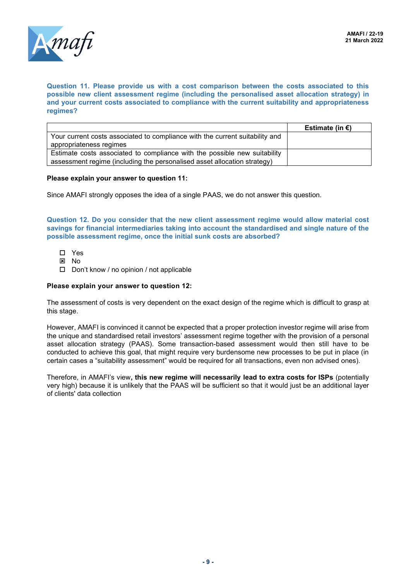

#### **Question 11. Please provide us with a cost comparison between the costs associated to this possible new client assessment regime (including the personalised asset allocation strategy) in and your current costs associated to compliance with the current suitability and appropriateness regimes?**

|                                                                              | Estimate (in $\epsilon$ ) |
|------------------------------------------------------------------------------|---------------------------|
| Your current costs associated to compliance with the current suitability and |                           |
| appropriateness regimes                                                      |                           |
| Estimate costs associated to compliance with the possible new suitability    |                           |
| assessment regime (including the personalised asset allocation strategy)     |                           |

#### **Please explain your answer to question 11:**

Since AMAFI strongly opposes the idea of a single PAAS, we do not answer this question.

**Question 12. Do you consider that the new client assessment regime would allow material cost savings for financial intermediaries taking into account the standardised and single nature of the possible assessment regime, once the initial sunk costs are absorbed?**

- Yes
- **E** No
- $\Box$  Don't know / no opinion / not applicable

#### **Please explain your answer to question 12:**

The assessment of costs is very dependent on the exact design of the regime which is difficult to grasp at this stage.

However, AMAFI is convinced it cannot be expected that a proper protection investor regime will arise from the unique and standardised retail investors' assessment regime together with the provision of a personal asset allocation strategy (PAAS). Some transaction-based assessment would then still have to be conducted to achieve this goal, that might require very burdensome new processes to be put in place (in certain cases a "suitability assessment" would be required for all transactions, even non advised ones).

Therefore, in AMAFI's view**, this new regime will necessarily lead to extra costs for ISPs** (potentially very high) because it is unlikely that the PAAS will be sufficient so that it would just be an additional layer of clients' data collection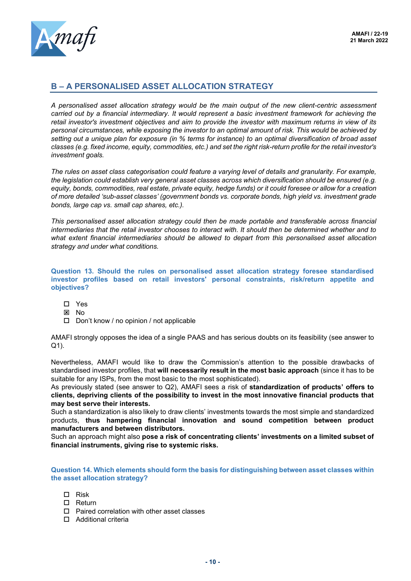

### **B – A PERSONALISED ASSET ALLOCATION STRATEGY**

*A personalised asset allocation strategy would be the main output of the new client-centric assessment carried out by a financial intermediary. It would represent a basic investment framework for achieving the retail investor's investment objectives and aim to provide the investor with maximum returns in view of its personal circumstances, while exposing the investor to an optimal amount of risk. This would be achieved by setting out a unique plan for exposure (in % terms for instance) to an optimal diversification of broad asset classes (e.g. fixed income, equity, commodities, etc.) and set the right risk-return profile for the retail investor's investment goals.*

*The rules on asset class categorisation could feature a varying level of details and granularity. For example, the legislation could establish very general asset classes across which diversification should be ensured (e.g. equity, bonds, commodities, real estate, private equity, hedge funds) or it could foresee or allow for a creation of more detailed 'sub-asset classes' (government bonds vs. corporate bonds, high yield vs. investment grade bonds, large cap vs. small cap shares, etc.).*

*This personalised asset allocation strategy could then be made portable and transferable across financial intermediaries that the retail investor chooses to interact with. It should then be determined whether and to what extent financial intermediaries should be allowed to depart from this personalised asset allocation strategy and under what conditions.*

**Question 13. Should the rules on personalised asset allocation strategy foresee standardised investor profiles based on retail investors' personal constraints, risk/return appetite and objectives?**

- □ Yes
- **x** No
- Don't know / no opinion / not applicable

AMAFI strongly opposes the idea of a single PAAS and has serious doubts on its feasibility (see answer to Q1).

Nevertheless, AMAFI would like to draw the Commission's attention to the possible drawbacks of standardised investor profiles, that **will necessarily result in the most basic approach** (since it has to be suitable for any ISPs, from the most basic to the most sophisticated).

As previously stated (see answer to Q2), AMAFI sees a risk of **standardization of products' offers to clients, depriving clients of the possibility to invest in the most innovative financial products that may best serve their interests.**

Such a standardization is also likely to draw clients' investments towards the most simple and standardized products, **thus hampering financial innovation and sound competition between product manufacturers and between distributors.**

Such an approach might also **pose a risk of concentrating clients' investments on a limited subset of financial instruments, giving rise to systemic risks.** 

**Question 14. Which elements should form the basis for distinguishing between asset classes within the asset allocation strategy?**

- $\Box$  Risk
- Return
- □ Paired correlation with other asset classes
- □ Additional criteria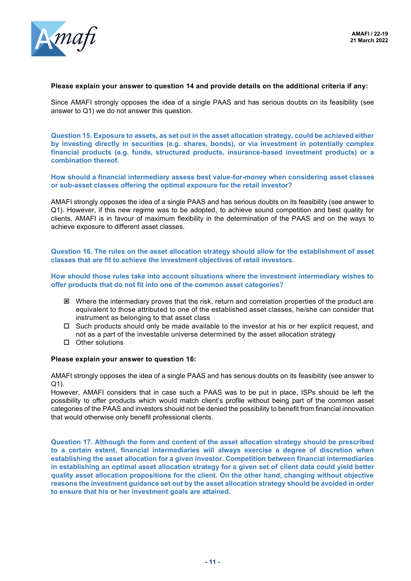

#### **Please explain your answer to question 14 and provide details on the additional criteria if any:**

Since AMAFI strongly opposes the idea of a single PAAS and has serious doubts on its feasibility (see answer to Q1) we do not answer this question.

**Question 15. Exposure to assets, as set out in the asset allocation strategy, could be achieved either by investing directly in securities (e.g. shares, bonds), or via investment in potentially complex financial products (e.g. funds, structured products, insurance-based investment products) or a combination thereof.**

**How should a financial intermediary assess best value-for-money when considering asset classes or sub-asset classes offering the optimal exposure for the retail investor?**

AMAFI strongly opposes the idea of a single PAAS and has serious doubts on its feasibility (see answer to Q1). However, if this new regime was to be adopted, to achieve sound competition and best quality for clients, AMAFI is in favour of maximum flexibility in the determination of the PAAS and on the ways to achieve exposure to different asset classes.

**Question 16. The rules on the asset allocation strategy should allow for the establishment of asset classes that are fit to achieve the investment objectives of retail investors.**

**How should those rules take into account situations where the investment intermediary wishes to offer products that do not fit into one of the common asset categories?** 

- Where the intermediary proves that the risk, return and correlation properties of the product are equivalent to those attributed to one of the established asset classes, he/she can consider that instrument as belonging to that asset class
- $\Box$  Such products should only be made available to the investor at his or her explicit request, and not as a part of the investable universe determined by the asset allocation strategy
- $\square$  Other solutions

#### **Please explain your answer to question 16:**

AMAFI strongly opposes the idea of a single PAAS and has serious doubts on its feasibility (see answer to Q1).

However, AMAFI considers that in case such a PAAS was to be put in place, ISPs should be left the possibility to offer products which would match client's profile without being part of the common asset categories of the PAAS and investors should not be denied the possibility to benefit from financial innovation that would otherwise only benefit professional clients.

**Question 17. Although the form and content of the asset allocation strategy should be prescribed to a certain extent, financial intermediaries will always exercise a degree of discretion when establishing the asset allocation for a given investor. Competition between financial intermediaries in establishing an optimal asset allocation strategy for a given set of client data could yield better quality asset allocation propositions for the client. On the other hand, changing without objective reasons the investment guidance set out by the asset allocation strategy should be avoided in order to ensure that his or her investment goals are attained.**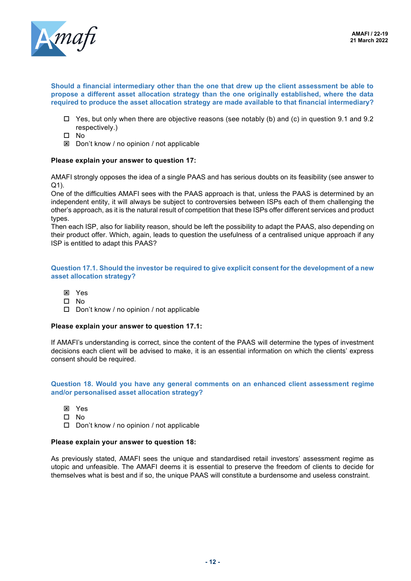

#### **Should a financial intermediary other than the one that drew up the client assessment be able to propose a different asset allocation strategy than the one originally established, where the data required to produce the asset allocation strategy are made available to that financial intermediary?**

- $\Box$  Yes, but only when there are objective reasons (see notably (b) and (c) in question 9.1 and 9.2 respectively.)
- No
- $\boxtimes$  Don't know / no opinion / not applicable

#### **Please explain your answer to question 17:**

AMAFI strongly opposes the idea of a single PAAS and has serious doubts on its feasibility (see answer to Q1).

One of the difficulties AMAFI sees with the PAAS approach is that, unless the PAAS is determined by an independent entity, it will always be subject to controversies between ISPs each of them challenging the other's approach, as it is the natural result of competition that these ISPs offer different services and product types.

Then each ISP, also for liability reason, should be left the possibility to adapt the PAAS, also depending on their product offer. Which, again, leads to question the usefulness of a centralised unique approach if any ISP is entitled to adapt this PAAS?

#### **Question 17.1. Should the investor be required to give explicit consent for the development of a new asset allocation strategy?**

- **E** Yes
- $\square$  No
- Don't know / no opinion / not applicable

#### **Please explain your answer to question 17.1:**

If AMAFI's understanding is correct, since the content of the PAAS will determine the types of investment decisions each client will be advised to make, it is an essential information on which the clients' express consent should be required.

#### **Question 18. Would you have any general comments on an enhanced client assessment regime and/or personalised asset allocation strategy?**

- **E** Yes
- $\square$  No
- Don't know / no opinion / not applicable

#### **Please explain your answer to question 18:**

As previously stated, AMAFI sees the unique and standardised retail investors' assessment regime as utopic and unfeasible. The AMAFI deems it is essential to preserve the freedom of clients to decide for themselves what is best and if so, the unique PAAS will constitute a burdensome and useless constraint.